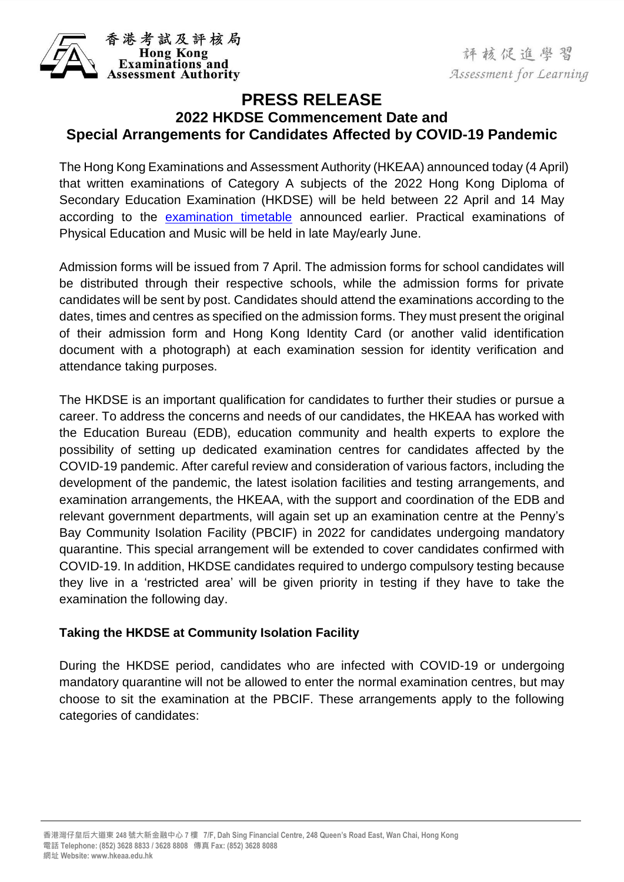

評核促進學習 Assessment for Learning

# **PRESS RELEASE 2022 HKDSE Commencement Date and Special Arrangements for Candidates Affected by COVID-19 Pandemic**

The Hong Kong Examinations and Assessment Authority (HKEAA) announced today (4 April) that written examinations of Category A subjects of the 2022 Hong Kong Diploma of Secondary Education Examination (HKDSE) will be held between 22 April and 14 May according to the [examination timetable](https://www.hkeaa.edu.hk/DocLibrary/HKDSE/Exam_Timetable/2022_DSE_Timetable.pdf) announced earlier. Practical examinations of Physical Education and Music will be held in late May/early June.

Admission forms will be issued from 7 April. The admission forms for school candidates will be distributed through their respective schools, while the admission forms for private candidates will be sent by post. Candidates should attend the examinations according to the dates, times and centres as specified on the admission forms. They must present the original of their admission form and Hong Kong Identity Card (or another valid identification document with a photograph) at each examination session for identity verification and attendance taking purposes.

The HKDSE is an important qualification for candidates to further their studies or pursue a career. To address the concerns and needs of our candidates, the HKEAA has worked with the Education Bureau (EDB), education community and health experts to explore the possibility of setting up dedicated examination centres for candidates affected by the COVID-19 pandemic. After careful review and consideration of various factors, including the development of the pandemic, the latest isolation facilities and testing arrangements, and examination arrangements, the HKEAA, with the support and coordination of the EDB and relevant government departments, will again set up an examination centre at the Penny's Bay Community Isolation Facility (PBCIF) in 2022 for candidates undergoing mandatory quarantine. This special arrangement will be extended to cover candidates confirmed with COVID-19. In addition, HKDSE candidates required to undergo compulsory testing because they live in a 'restricted area' will be given priority in testing if they have to take the examination the following day.

### **Taking the HKDSE at Community Isolation Facility**

During the HKDSE period, candidates who are infected with COVID-19 or undergoing mandatory quarantine will not be allowed to enter the normal examination centres, but may choose to sit the examination at the PBCIF. These arrangements apply to the following categories of candidates: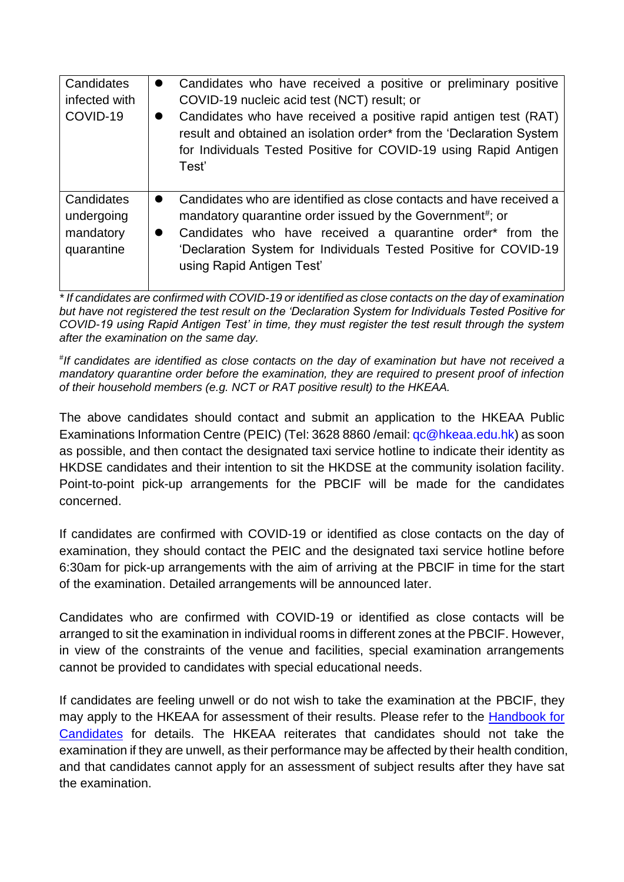| Candidates<br>infected with<br>COVID-19             | Candidates who have received a positive or preliminary positive<br>$\bullet$<br>COVID-19 nucleic acid test (NCT) result; or<br>Candidates who have received a positive rapid antigen test (RAT)<br>$\bullet$<br>result and obtained an isolation order* from the 'Declaration System<br>for Individuals Tested Positive for COVID-19 using Rapid Antigen<br>Test' |
|-----------------------------------------------------|-------------------------------------------------------------------------------------------------------------------------------------------------------------------------------------------------------------------------------------------------------------------------------------------------------------------------------------------------------------------|
| Candidates<br>undergoing<br>mandatory<br>quarantine | Candidates who are identified as close contacts and have received a<br>$\bullet$<br>mandatory quarantine order issued by the Government#; or<br>Candidates who have received a quarantine order* from the<br>$\bullet$<br>'Declaration System for Individuals Tested Positive for COVID-19<br>using Rapid Antigen Test'                                           |

*\* If candidates are confirmed with COVID-19 or identified as close contacts on the day of examination but have not registered the test result on the 'Declaration System for Individuals Tested Positive for COVID-19 using Rapid Antigen Test' in time, they must register the test result through the system after the examination on the same day.*

*# If candidates are identified as close contacts on the day of examination but have not received a mandatory quarantine order before the examination, they are required to present proof of infection of their household members (e.g. NCT or RAT positive result) to the HKEAA.*

The above candidates should contact and submit an application to the HKEAA Public Examinations Information Centre (PEIC) (Tel: 3628 8860 /email: [qc@hkeaa.edu.hk\)](mailto:qc@hkeaa.edu.hk) as soon as possible, and then contact the designated taxi service hotline to indicate their identity as HKDSE candidates and their intention to sit the HKDSE at the community isolation facility. Point-to-point pick-up arrangements for the PBCIF will be made for the candidates concerned.

If candidates are confirmed with COVID-19 or identified as close contacts on the day of examination, they should contact the PEIC and the designated taxi service hotline before 6:30am for pick-up arrangements with the aim of arriving at the PBCIF in time for the start of the examination. Detailed arrangements will be announced later.

Candidates who are confirmed with COVID-19 or identified as close contacts will be arranged to sit the examination in individual rooms in different zones at the PBCIF. However, in view of the constraints of the venue and facilities, special examination arrangements cannot be provided to candidates with special educational needs.

If candidates are feeling unwell or do not wish to take the examination at the PBCIF, they may apply to the HKEAA for assessment of their results. Please refer to the Handbook for [Candidates](https://www.hkeaa.edu.hk/DocLibrary/HKDSE/Candidate_Handbook/4_22What_to_do_Under_Special_Circumstances_E.pdf) for details. The HKEAA reiterates that candidates should not take the examination if they are unwell, as their performance may be affected by their health condition, and that candidates cannot apply for an assessment of subject results after they have sat the examination.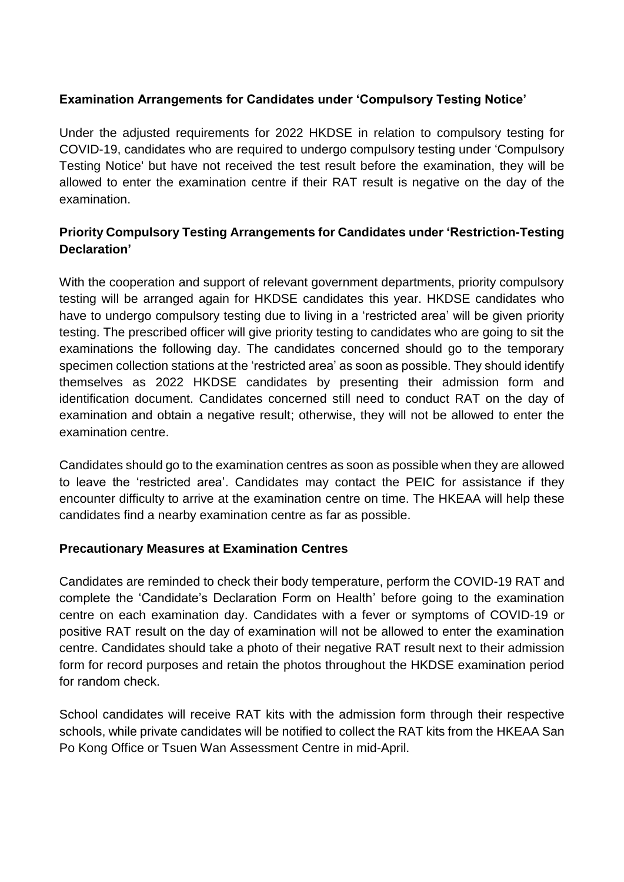## **Examination Arrangements for Candidates under 'Compulsory Testing Notice'**

Under the adjusted requirements for 2022 HKDSE in relation to compulsory testing for COVID-19, candidates who are required to undergo compulsory testing under 'Compulsory Testing Notice' but have not received the test result before the examination, they will be allowed to enter the examination centre if their RAT result is negative on the day of the examination.

# **Priority Compulsory Testing Arrangements for Candidates under 'Restriction-Testing Declaration'**

With the cooperation and support of relevant government departments, priority compulsory testing will be arranged again for HKDSE candidates this year. HKDSE candidates who have to undergo compulsory testing due to living in a 'restricted area' will be given priority testing. The prescribed officer will give priority testing to candidates who are going to sit the examinations the following day. The candidates concerned should go to the temporary specimen collection stations at the 'restricted area' as soon as possible. They should identify themselves as 2022 HKDSE candidates by presenting their admission form and identification document. Candidates concerned still need to conduct RAT on the day of examination and obtain a negative result; otherwise, they will not be allowed to enter the examination centre.

Candidates should go to the examination centres as soon as possible when they are allowed to leave the 'restricted area'. Candidates may contact the PEIC for assistance if they encounter difficulty to arrive at the examination centre on time. The HKEAA will help these candidates find a nearby examination centre as far as possible.

### **Precautionary Measures at Examination Centres**

Candidates are reminded to check their body temperature, perform the COVID-19 RAT and complete the 'Candidate's Declaration Form on Health' before going to the examination centre on each examination day. Candidates with a fever or symptoms of COVID-19 or positive RAT result on the day of examination will not be allowed to enter the examination centre. Candidates should take a photo of their negative RAT result next to their admission form for record purposes and retain the photos throughout the HKDSE examination period for random check.

School candidates will receive RAT kits with the admission form through their respective schools, while private candidates will be notified to collect the RAT kits from the HKEAA San Po Kong Office or Tsuen Wan Assessment Centre in mid-April.